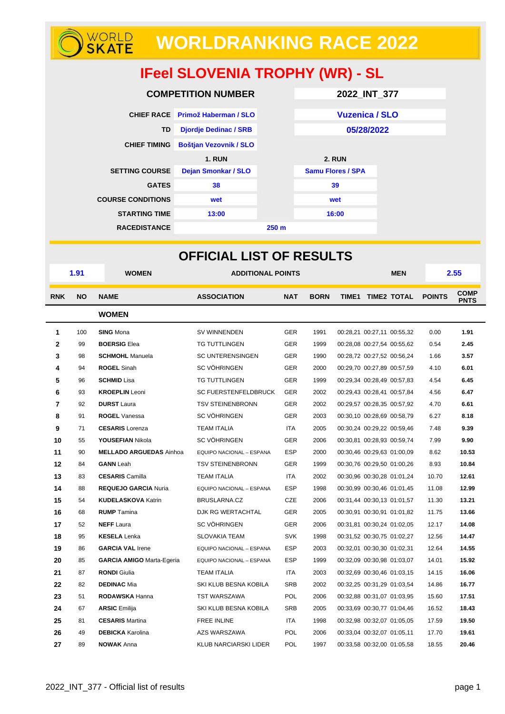# **WORLDRANKING RACE 2022**

## **IFeel SLOVENIA TROPHY (WR) - SL**

| <b>COMPETITION NUMBER</b> | 2022_INT_377                     |                  |                          |  |  |  |
|---------------------------|----------------------------------|------------------|--------------------------|--|--|--|
|                           | CHIEF RACE Primož Haberman / SLO |                  | <b>Vuzenica / SLO</b>    |  |  |  |
| <b>TD</b>                 | <b>Djordje Dedinac / SRB</b>     |                  | 05/28/2022               |  |  |  |
| <b>CHIEF TIMING</b>       | <b>Boštjan Vezovnik / SLO</b>    |                  |                          |  |  |  |
|                           | <b>1. RUN</b>                    |                  | <b>2. RUN</b>            |  |  |  |
| <b>SETTING COURSE</b>     | <b>Dejan Smonkar / SLO</b>       |                  | <b>Samu Flores / SPA</b> |  |  |  |
| <b>GATES</b>              | 38                               |                  | 39                       |  |  |  |
| <b>COURSE CONDITIONS</b>  | wet                              |                  | wet                      |  |  |  |
| <b>STARTING TIME</b>      | 13:00                            |                  | 16:00                    |  |  |  |
| <b>RACEDISTANCE</b>       |                                  | 250 <sub>m</sub> |                          |  |  |  |

| <b>OFFICIAL LIST OF RESULTS</b> |                                                  |                                  |                              |            |             |            |                            |      |               |                            |
|---------------------------------|--------------------------------------------------|----------------------------------|------------------------------|------------|-------------|------------|----------------------------|------|---------------|----------------------------|
|                                 | 1.91<br><b>WOMEN</b><br><b>ADDITIONAL POINTS</b> |                                  |                              |            |             | <b>MEN</b> |                            | 2.55 |               |                            |
| <b>RNK</b>                      | <b>NO</b>                                        | <b>NAME</b>                      | <b>ASSOCIATION</b>           | <b>NAT</b> | <b>BORN</b> |            | TIME1 TIME2 TOTAL          |      | <b>POINTS</b> | <b>COMP</b><br><b>PNTS</b> |
|                                 |                                                  | <b>WOMEN</b>                     |                              |            |             |            |                            |      |               |                            |
| 1                               | 100                                              | <b>SING Mona</b>                 | SV WINNENDEN                 | <b>GER</b> | 1991        |            | 00:28,21 00:27,11 00:55,32 |      | 0.00          | 1.91                       |
| 2                               | 99                                               | <b>BOERSIG Elea</b>              | TG TUTTLINGEN                | GER        | 1999        |            | 00:28,08 00:27,54 00:55,62 |      | 0.54          | 2.45                       |
| 3                               | 98                                               | <b>SCHMOHL</b> Manuela           | <b>SC UNTERENSINGEN</b>      | <b>GER</b> | 1990        |            | 00:28,72 00:27,52 00:56,24 |      | 1.66          | 3.57                       |
| 4                               | 94                                               | <b>ROGEL Sinah</b>               | <b>SC VÖHRINGEN</b>          | <b>GER</b> | 2000        |            | 00:29.70 00:27.89 00:57.59 |      | 4.10          | 6.01                       |
| 5                               | 96                                               | <b>SCHMID Lisa</b>               | TG TUTTLINGEN                | <b>GER</b> | 1999        |            | 00:29,34 00:28,49 00:57,83 |      | 4.54          | 6.45                       |
| 6                               | 93                                               | <b>KROEPLIN</b> Leoni            | <b>SC FUERSTENFELDBRUCK</b>  | <b>GER</b> | 2002        |            | 00:29,43 00:28,41 00:57,84 |      | 4.56          | 6.47                       |
| $\overline{7}$                  | 92                                               | <b>DURST</b> Laura               | <b>TSV STEINENBRONN</b>      | GER        | 2002        |            | 00:29,57 00:28,35 00:57,92 |      | 4.70          | 6.61                       |
| 8                               | 91                                               | <b>ROGEL</b> Vanessa             | SC VÖHRINGEN                 | <b>GER</b> | 2003        |            | 00:30,10 00:28,69 00:58,79 |      | 6.27          | 8.18                       |
| 9                               | 71                                               | <b>CESARIS</b> Lorenza           | <b>TEAM ITALIA</b>           | <b>ITA</b> | 2005        |            | 00:30,24 00:29,22 00:59,46 |      | 7.48          | 9.39                       |
| 10                              | 55                                               | <b>YOUSEFIAN Nikola</b>          | SC VÖHRINGEN                 | <b>GER</b> | 2006        |            | 00:30,81 00:28,93 00:59,74 |      | 7.99          | 9.90                       |
| 11                              | 90                                               | <b>MELLADO ARGUEDAS Ainhoa</b>   | EQUIPO NACIONAL - ESPANA     | <b>ESP</b> | 2000        |            | 00:30,46 00:29,63 01:00,09 |      | 8.62          | 10.53                      |
| 12                              | 84                                               | <b>GANN</b> Leah                 | <b>TSV STEINENBRONN</b>      | GER        | 1999        |            | 00:30,76 00:29,50 01:00,26 |      | 8.93          | 10.84                      |
| 13                              | 83                                               | <b>CESARIS</b> Camilla           | <b>TEAM ITALIA</b>           | <b>ITA</b> | 2002        |            | 00:30,96 00:30,28 01:01,24 |      | 10.70         | 12.61                      |
| 14                              | 88                                               | <b>REQUEJO GARCIA Nuria</b>      | EQUIPO NACIONAL - ESPANA     | <b>ESP</b> | 1998        |            | 00:30,99 00:30,46 01:01,45 |      | 11.08         | 12.99                      |
| 15                              | 54                                               | <b>KUDELASKOVA Katrin</b>        | BRUSLARNA.CZ                 | CZE        | 2006        |            | 00:31,44 00:30,13 01:01,57 |      | 11.30         | 13.21                      |
| 16                              | 68                                               | <b>RUMP</b> Tamina               | DJK RG WERTACHTAL            | <b>GER</b> | 2005        |            | 00:30,91 00:30,91 01:01,82 |      | 11.75         | 13.66                      |
| 17                              | 52                                               | <b>NEFF</b> Laura                | <b>SC VÖHRINGEN</b>          | <b>GER</b> | 2006        |            | 00:31,81 00:30,24 01:02,05 |      | 12.17         | 14.08                      |
| 18                              | 95                                               | <b>KESELA</b> Lenka              | <b>SLOVAKIA TEAM</b>         | <b>SVK</b> | 1998        |            | 00:31,52 00:30,75 01:02,27 |      | 12.56         | 14.47                      |
| 19                              | 86                                               | <b>GARCIA VAL Irene</b>          | EQUIPO NACIONAL - ESPANA     | <b>ESP</b> | 2003        |            | 00:32,01 00:30,30 01:02,31 |      | 12.64         | 14.55                      |
| 20                              | 85                                               | <b>GARCIA AMIGO Marta-Egeria</b> | EQUIPO NACIONAL - ESPANA     | <b>ESP</b> | 1999        |            | 00:32,09 00:30,98 01:03,07 |      | 14.01         | 15.92                      |
| 21                              | 87                                               | <b>RONDI</b> Giulia              | <b>TEAM ITALIA</b>           | <b>ITA</b> | 2003        |            | 00:32,69 00:30,46 01:03,15 |      | 14.15         | 16.06                      |
| 22                              | 82                                               | <b>DEDINAC Mia</b>               | SKI KLUB BESNA KOBILA        | <b>SRB</b> | 2002        |            | 00:32,25 00:31,29 01:03,54 |      | 14.86         | 16.77                      |
| 23                              | 51                                               | RODAWSKA Hanna                   | TST WARSZAWA                 | POL        | 2006        |            | 00:32,88 00:31,07 01:03,95 |      | 15.60         | 17.51                      |
| 24                              | 67                                               | <b>ARSIC Emilija</b>             | SKI KLUB BESNA KOBILA        | <b>SRB</b> | 2005        |            | 00:33,69 00:30,77 01:04,46 |      | 16.52         | 18.43                      |
| 25                              | 81                                               | <b>CESARIS</b> Martina           | <b>FREE INLINE</b>           | ITA        | 1998        |            | 00:32,98 00:32,07 01:05,05 |      | 17.59         | 19.50                      |
| 26                              | 49                                               | <b>DEBICKA</b> Karolina          | AZS WARSZAWA                 | <b>POL</b> | 2006        |            | 00:33,04 00:32,07 01:05,11 |      | 17.70         | 19.61                      |
| 27                              | 89                                               | <b>NOWAK</b> Anna                | <b>KLUB NARCIARSKI LIDER</b> | POL        | 1997        |            | 00:33,58 00:32,00 01:05,58 |      | 18.55         | 20.46                      |

WORLD<br>**SKATE**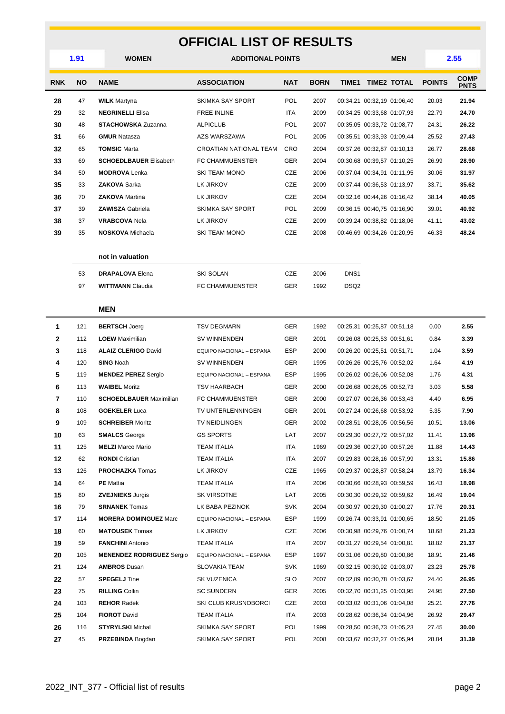#### **OFFICIAL LIST OF RESULTS**

|            | 1.91     | <b>WOMEN</b>                                    | <b>ADDITIONAL POINTS</b>          |                   |              |                  |                            | <b>MEN</b>                                               | 2.55           |                            |
|------------|----------|-------------------------------------------------|-----------------------------------|-------------------|--------------|------------------|----------------------------|----------------------------------------------------------|----------------|----------------------------|
| <b>RNK</b> | NO       | <b>NAME</b>                                     | <b>ASSOCIATION</b>                | <b>NAT</b>        | <b>BORN</b>  |                  | TIME1 TIME2 TOTAL          |                                                          | <b>POINTS</b>  | <b>COMP</b><br><b>PNTS</b> |
| 28         | 47       | <b>WILK</b> Martyna                             | SKIMKA SAY SPORT                  | <b>POL</b>        | 2007         |                  | 00:34,21 00:32,19 01:06,40 |                                                          | 20.03          | 21.94                      |
| 29         | 32       | <b>NEGRINELLI Elisa</b>                         | <b>FREE INLINE</b>                | ITA               | 2009         |                  | 00:34,25 00:33,68 01:07,93 |                                                          | 22.79          | 24.70                      |
| 30         | 48       | <b>STACHOWSKA Zuzanna</b>                       | <b>ALPICLUB</b>                   | <b>POL</b>        | 2007         |                  | 00:35,05 00:33,72 01:08,77 |                                                          | 24.31          | 26.22                      |
| 31         | 66       | <b>GMUR Natasza</b>                             | AZS WARSZAWA                      | <b>POL</b>        | 2005         |                  | 00:35,51 00:33,93 01:09,44 |                                                          | 25.52          | 27.43                      |
| 32         | 65       | <b>TOMSIC Marta</b>                             | CROATIAN NATIONAL TEAM            | CRO               | 2004         |                  | 00:37,26 00:32,87 01:10,13 |                                                          | 26.77          | 28.68                      |
| 33         | 69       | <b>SCHOEDLBAUER Elisabeth</b>                   | FC CHAMMUENSTER                   | <b>GER</b>        | 2004         |                  | 00:30,68 00:39,57 01:10,25 |                                                          | 26.99          | 28.90                      |
| 34         | 50       | <b>MODROVA</b> Lenka                            | <b>SKI TEAM MONO</b>              | CZE               | 2006         |                  | 00:37,04 00:34,91 01:11,95 |                                                          | 30.06          | 31.97                      |
| 35         | 33       | <b>ZAKOVA Sarka</b>                             | LK JIRKOV                         | CZE               | 2009         |                  | 00:37,44 00:36,53 01:13,97 |                                                          | 33.71          | 35.62                      |
| 36         | 70       | <b>ZAKOVA</b> Martina                           | LK JIRKOV                         | CZE               | 2004         |                  | 00:32,16 00:44,26 01:16,42 |                                                          | 38.14          | 40.05                      |
| 37         | 39       | <b>ZAWISZA Gabriela</b>                         | SKIMKA SAY SPORT                  | <b>POL</b>        | 2009         |                  | 00:36,15 00:40,75 01:16,90 |                                                          | 39.01          | 40.92                      |
| 38         | 37       | <b>VRABCOVA Nela</b>                            | LK JIRKOV                         | CZE               | 2009         |                  | 00:39,24 00:38,82 01:18,06 |                                                          | 41.11          | 43.02                      |
| 39         | 35       | <b>NOSKOVA</b> Michaela                         | <b>SKI TEAM MONO</b>              | CZE               | 2008         |                  | 00:46,69 00:34,26 01:20,95 |                                                          | 46.33          | 48.24                      |
|            |          | not in valuation                                |                                   |                   |              |                  |                            |                                                          |                |                            |
|            | 53       | <b>DRAPALOVA Elena</b>                          | <b>SKI SOLAN</b>                  | CZE               | 2006         | DNS <sub>1</sub> |                            |                                                          |                |                            |
|            | 97       | <b>WITTMANN Claudia</b>                         | FC CHAMMUENSTER                   | <b>GER</b>        | 1992         | DSQ <sub>2</sub> |                            |                                                          |                |                            |
|            |          |                                                 |                                   |                   |              |                  |                            |                                                          |                |                            |
|            |          | <b>MEN</b>                                      |                                   |                   |              |                  |                            |                                                          |                |                            |
| 1          | 121      | <b>BERTSCH Joerg</b>                            | <b>TSV DEGMARN</b>                | GER               | 1992         |                  | 00:25,31 00:25,87 00:51,18 |                                                          | 0.00           | 2.55                       |
| 2          | 112      | <b>LOEW</b> Maximilian                          | SV WINNENDEN                      | GER               | 2001         |                  | 00:26,08 00:25,53 00:51,61 |                                                          | 0.84           | 3.39                       |
| 3          | 118      | <b>ALAIZ CLERIGO David</b>                      | EQUIPO NACIONAL - ESPANA          | <b>ESP</b>        | 2000         |                  | 00:26,20 00:25,51 00:51,71 |                                                          | 1.04           | 3.59                       |
| 4          | 120      | <b>SING Noah</b>                                | SV WINNENDEN                      | GER               | 1995         |                  | 00:26,26 00:25,76 00:52,02 |                                                          | 1.64           | 4.19                       |
| 5          | 119      | <b>MENDEZ PEREZ Sergio</b>                      | EQUIPO NACIONAL - ESPANA          | <b>ESP</b>        | 1995         |                  | 00:26,02 00:26,06 00:52,08 |                                                          | 1.76           | 4.31                       |
| 6          | 113      | <b>WAIBEL Moritz</b>                            | <b>TSV HAARBACH</b>               | GER               | 2000         |                  | 00:26.68 00:26.05 00:52.73 |                                                          | 3.03           | 5.58                       |
| 7          | 110      | <b>SCHOEDLBAUER Maximilian</b>                  | FC CHAMMUENSTER                   | GER               | 2000         |                  | 00:27,07 00:26,36 00:53,43 |                                                          | 4.40           | 6.95                       |
| 8          | 108      | <b>GOEKELER Luca</b>                            | TV UNTERLENNINGEN                 | <b>GER</b>        | 2001         |                  | 00:27,24 00:26,68 00:53,92 |                                                          | 5.35           | 7.90                       |
| 9          | 109      | <b>SCHREIBER Moritz</b>                         | <b>TV NEIDLINGEN</b>              | GER               | 2002         |                  | 00:28,51 00:28,05 00:56,56 |                                                          | 10.51          | 13.06                      |
| 10         | 63       | <b>SMALCS</b> Georgs                            | <b>GS SPORTS</b>                  | LAT               | 2007         |                  | 00:29,30 00:27,72 00:57,02 |                                                          | 11.41          | 13.96                      |
| 11         | 125      | <b>MELZI</b> Marco Mario                        | <b>TEAM ITALIA</b>                | ITA               | 1969         |                  | 00:29,36 00:27,90 00:57,26 |                                                          | 11.88          | 14.43                      |
| 12         | 62       | <b>RONDI</b> Cristian                           | TEAM ITALIA                       | ITA               | 2007         |                  | 00:29,83 00:28,16 00:57,99 |                                                          | 13.31          | 15.86                      |
| 13         | 126      | <b>PROCHAZKA</b> Tomas                          | LK JIRKOV                         | CZE               | 1965         |                  |                            | 00:29,37 00:28,87 00:58,24                               | 13.79          | 16.34                      |
| 14         | 64       | <b>PE</b> Mattia                                | <b>TEAM ITALIA</b><br>SK VIRSOTNE | ITA.              | 2006         |                  | 00:30.66 00:28.93 00:59.59 |                                                          | 16.43          | 18.98                      |
| 15<br>16   | 80<br>79 | <b>ZVEJNIEKS Jurgis</b><br><b>SRNANEK Tomas</b> | LK BABA PEZINOK                   | LAT<br><b>SVK</b> | 2005<br>2004 |                  |                            | 00:30,30 00:29,32 00:59,62<br>00:30,97 00:29,30 01:00,27 | 16.49          | 19.04<br>20.31             |
| 17         | 114      | <b>MORERA DOMINGUEZ Marc</b>                    | EQUIPO NACIONAL - ESPANA          | ESP               | 1999         |                  | 00:26,74 00:33,91 01:00,65 |                                                          | 17.76<br>18.50 | 21.05                      |
| 18         | 60       | <b>MATOUSEK</b> Tomas                           | LK JIRKOV                         | CZE               | 2006         |                  |                            | 00:30,98 00:29,76 01:00,74                               | 18.68          | 21.23                      |
| 19         | 59       | <b>FANCHINI</b> Antonio                         | TEAM ITALIA                       | ITA               | 2007         |                  | 00:31,27 00:29,54 01:00,81 |                                                          | 18.82          | 21.37                      |
| 20         | 105      | <b>MENENDEZ RODRIGUEZ Sergio</b>                | EQUIPO NACIONAL - ESPANA          | ESP               | 1997         |                  | 00:31,06 00:29,80 01:00,86 |                                                          | 18.91          | 21.46                      |
| 21         | 124      | <b>AMBROS Dusan</b>                             | <b>SLOVAKIA TEAM</b>              | <b>SVK</b>        | 1969         |                  | 00:32,15 00:30,92 01:03,07 |                                                          | 23.23          | 25.78                      |
| 22         | 57       | <b>SPEGELJ</b> Tine                             | SK VUZENICA                       | <b>SLO</b>        | 2007         |                  | 00:32,89 00:30,78 01:03,67 |                                                          | 24.40          | 26.95                      |
| 23         | 75       | <b>RILLING Collin</b>                           | <b>SC SUNDERN</b>                 | GER               | 2005         |                  | 00:32,70 00:31,25 01:03,95 |                                                          | 24.95          | 27.50                      |
| 24         | 103      | <b>REHOR Radek</b>                              | SKI CLUB KRUSNOBORCI              | CZE               | 2003         |                  | 00:33,02 00:31,06 01:04,08 |                                                          | 25.21          | 27.76                      |
| 25         | 104      | <b>FIOROT David</b>                             | <b>TEAM ITALIA</b>                | ITA               | 2003         |                  | 00:28,62 00:36,34 01:04,96 |                                                          | 26.92          | 29.47                      |
| 26         | 116      | <b>STYRYLSKI</b> Michal                         | SKIMKA SAY SPORT                  | <b>POL</b>        | 1999         |                  | 00:28,50 00:36,73 01:05,23 |                                                          | 27.45          | 30.00                      |
| 27         | 45       | <b>PRZEBINDA Bogdan</b>                         | SKIMKA SAY SPORT                  | POL               | 2008         |                  | 00:33,67 00:32,27 01:05,94 |                                                          | 28.84          | 31.39                      |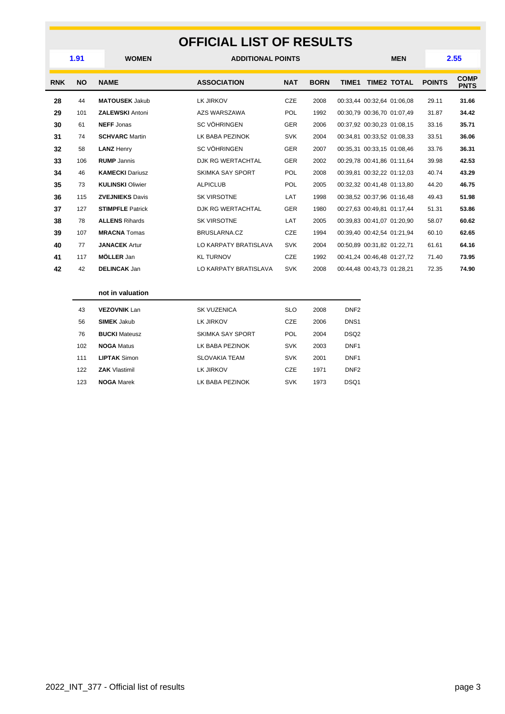#### **OFFICIAL LIST OF RESULTS**

| 1.91       |           | <b>WOMEN</b>            | <b>ADDITIONAL POINTS</b> |            |             |                  |                            |  | 2.55<br><b>MEN</b> |                            |
|------------|-----------|-------------------------|--------------------------|------------|-------------|------------------|----------------------------|--|--------------------|----------------------------|
| <b>RNK</b> | <b>NO</b> | <b>NAME</b>             | <b>ASSOCIATION</b>       | <b>NAT</b> | <b>BORN</b> | TIME1            | <b>TIME2 TOTAL</b>         |  | <b>POINTS</b>      | <b>COMP</b><br><b>PNTS</b> |
| 28         | 44        | <b>MATOUSEK Jakub</b>   | LK JIRKOV                | CZE        | 2008        |                  | 00:33,44 00:32,64 01:06,08 |  | 29.11              | 31.66                      |
| 29         | 101       | <b>ZALEWSKI Antoni</b>  | AZS WARSZAWA             | POL        | 1992        |                  | 00:30.79 00:36.70 01:07.49 |  | 31.87              | 34.42                      |
| 30         | 61        | <b>NEFF Jonas</b>       | <b>SC VÖHRINGEN</b>      | <b>GER</b> | 2006        |                  | 00:37,92 00:30,23 01:08,15 |  | 33.16              | 35.71                      |
| 31         | 74        | <b>SCHVARC</b> Martin   | LK BABA PEZINOK          | <b>SVK</b> | 2004        |                  | 00:34,81 00:33,52 01:08,33 |  | 33.51              | 36.06                      |
| 32         | 58        | <b>LANZ Henry</b>       | <b>SC VÖHRINGEN</b>      | <b>GER</b> | 2007        |                  | 00:35,31 00:33,15 01:08,46 |  | 33.76              | 36.31                      |
| 33         | 106       | <b>RUMP</b> Jannis      | DJK RG WERTACHTAL        | <b>GER</b> | 2002        |                  | 00:29.78 00:41.86 01:11.64 |  | 39.98              | 42.53                      |
| 34         | 46        | <b>KAMECKI Dariusz</b>  | SKIMKA SAY SPORT         | POL        | 2008        |                  | 00:39.81 00:32.22 01:12.03 |  | 40.74              | 43.29                      |
| 35         | 73        | <b>KULINSKI Oliwier</b> | <b>ALPICLUB</b>          | POL        | 2005        |                  | 00:32,32 00:41,48 01:13,80 |  | 44.20              | 46.75                      |
| 36         | 115       | <b>ZVEJNIEKS Davis</b>  | <b>SK VIRSOTNE</b>       | LAT        | 1998        |                  | 00:38,52 00:37,96 01:16,48 |  | 49.43              | 51.98                      |
| 37         | 127       | <b>STIMPFLE Patrick</b> | DJK RG WERTACHTAL        | <b>GER</b> | 1980        |                  | 00:27,63 00:49,81 01:17,44 |  | 51.31              | 53.86                      |
| 38         | 78        | <b>ALLENS Rihards</b>   | <b>SK VIRSOTNE</b>       | LAT        | 2005        |                  | 00:39,83 00:41,07 01:20,90 |  | 58.07              | 60.62                      |
| 39         | 107       | <b>MRACNA</b> Tomas     | BRUSLARNA.CZ             | CZE        | 1994        |                  | 00:39.40 00:42.54 01:21.94 |  | 60.10              | 62.65                      |
| 40         | 77        | <b>JANACEK Artur</b>    | LO KARPATY BRATISLAVA    | <b>SVK</b> | 2004        |                  | 00:50,89 00:31,82 01:22,71 |  | 61.61              | 64.16                      |
| 41         | 117       | <b>MÖLLER</b> Jan       | <b>KL TURNOV</b>         | CZE        | 1992        |                  | 00:41,24 00:46,48 01:27,72 |  | 71.40              | 73.95                      |
| 42         | 42        | <b>DELINCAK Jan</b>     | LO KARPATY BRATISLAVA    | <b>SVK</b> | 2008        |                  | 00:44,48 00:43,73 01:28,21 |  | 72.35              | 74.90                      |
|            |           | not in valuation        |                          |            |             |                  |                            |  |                    |                            |
|            | 43        | <b>VEZOVNIK Lan</b>     | <b>SK VUZENICA</b>       | <b>SLO</b> | 2008        | DNF <sub>2</sub> |                            |  |                    |                            |
|            | 56        | <b>SIMEK Jakub</b>      | LK JIRKOV                | CZE        | 2006        | DNS <sub>1</sub> |                            |  |                    |                            |
|            | 76        | <b>BUCKI</b> Mateusz    | SKIMKA SAY SPORT         | POL        | 2004        | DSQ <sub>2</sub> |                            |  |                    |                            |
|            | 102       | <b>NOGA Matus</b>       | LK BABA PEZINOK          | <b>SVK</b> | 2003        | DNF <sub>1</sub> |                            |  |                    |                            |

**LIPTAK** Simon SLOVAKIA TEAM SVK 2001 DNF1 **ZAK** Vlastimil **LK JIRKOV CZE** 1971 DNF2 **NOGA** Marek LK BABA PEZINOK SVK 1973 DSQ1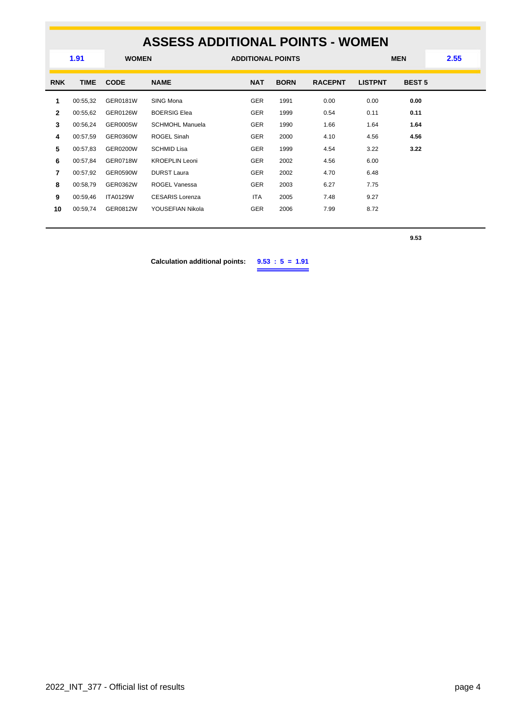#### **ASSESS ADDITIONAL POINTS - WOMEN WOMEN ADDITIONAL POINTS MEN 1.91 2.55 RNK TIME CODE NAME NAT BORN RACEPNT LISTPNT BEST 5** 00:55,32 GER0181W SING Mona GER 1991 0.00 0.00 **0.00** 00:55,62 GER0126W BOERSIG Elea GER 1999 0.54 0.11 **0.11** 00:56,24 GER0005W SCHMOHL Manuela GER 1990 1.66 1.64 **1.64** 00:57,59 GER0360W ROGEL Sinah GER 2000 4.10 4.56 **4.56** 00:57,83 GER0200W SCHMID Lisa GER 1999 4.54 3.22 **3.22** 00:57,84 GER0718W KROEPLIN Leoni GER 2002 4.56 6.00 00:57,92 GER0590W DURST Laura GER 2002 4.70 6.48 00:58,79 GER0362W ROGEL Vanessa GER 2003 6.27 7.75 00:59,46 ITA0129W CESARIS Lorenza **ITA** 2005 7.48 9.27 00:59,74 GER0812W YOUSEFIAN Nikola GER 2006 7.99 8.72

**9.53**

**Calculation additional points: 9.53 : 5 = 1.91**